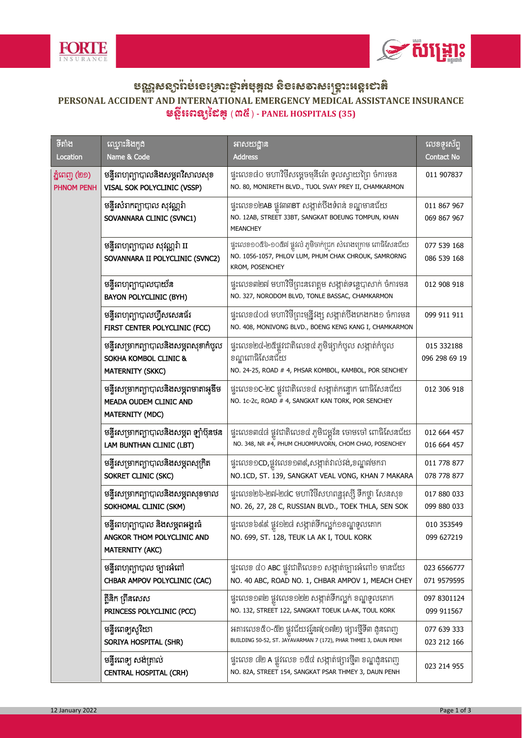



## ဗက္လ္ဆန္းစားမ်ားမႈမ်ားမွားမ်ားမွန္မွာေန့င္းမွာေန႔ေနာ္တင္းမွာေနာ္တင္ကေနာ္<br>PERSONAL ACCIDENT AND INTERNATIONAL EMERGENCY MEDICAL ASSISTANCE INSURANCE មន្ទីរពេន្យនៃ (៣៥) - PANEL HOSPITALS (35)

| ទីតាំង                            | ឈ្មោះនិងកូដ<br>Name & Code                                                                          | អាសយដ្ឋាន                                                                                                                              | លេខទុះស័ព្ទ                 |
|-----------------------------------|-----------------------------------------------------------------------------------------------------|----------------------------------------------------------------------------------------------------------------------------------------|-----------------------------|
| Location                          |                                                                                                     | <b>Address</b>                                                                                                                         | <b>Contact No</b>           |
| ភ្នំពេញ (២១)<br><b>PHNOM PENH</b> | មន្ទីរពហុព្យាបាលនិងសម្ភពវិសាលសុខ<br>VISAL SOK POLYCLINIC (VSSP)                                     | ផ្ទះលេខ៨០ មហាវិថីសម្តេចមុនីរ៉េត ទូលស្វាយព្រៃ ចំការមន<br>NO. 80, MONIRETH BLVD., TUOL SVAY PREY II, CHAMKARMON                          | 011 907837                  |
|                                   | មន្ទីរសំរាកព្យាបាល សុវណ្ណរ៉ា<br>SOVANNARA CLINIC (SVNC1)                                            | ផ្ទុះលេខ១២AB ផ្លូវ៣៣BT សង្កាត់បឹងទំពន់ ខណ្ឌមានជ័យ<br>NO. 12AB, STREET 33BT, SANGKAT BOEUNG TOMPUN, KHAN<br><b>MEANCHEY</b>             | 011 867 967<br>069 867 967  |
|                                   | មន្ទីរពហុព្យាបាល សុវណ្ណរ៉ា II<br>SOVANNARA II POLYCLINIC (SVNC2)                                    | ផ្ទះលេខ១០៥៦-១០៥៧ ផ្លូវលំ ភូមិចាក់ជ្រក សំរោងក្រោម ពោធិសែនជ័យ<br>NO. 1056-1057, PHLOV LUM, PHUM CHAK CHROUK, SAMRORNG<br>KROM, POSENCHEY | 077 539 168<br>086 539 168  |
|                                   | មន្ទីរពហុព្យាបាលបាយ័ន<br><b>BAYON POLYCLINIC (BYH)</b>                                              | ផ្ទះលេខ៣២៧ មហាវិថីព្រះនរោត្តម សង្កាត់ទន្លេបាសាក់ ចំការមន<br>NO. 327, NORODOM BLVD, TONLE BASSAC, CHAMKARMON                            | 012 908 918                 |
|                                   | មន្ទីរពហុព្យាបាលហ្វឺសសេនធ័រ<br>FIRST CENTER POLYCLINIC (FCC)                                        | ផ្ទះលេខ៤០៨ មហាវិថីព្រះមុន្នីវង្ស សង្កាត់បឹងកេងកង១ ចំការមន<br>NO. 408, MONIVONG BLVD., BOENG KENG KANG I, CHAMKARMON                    | 099 911 911                 |
|                                   | មន្ទីរសម្រាកព្យាបាលនិងសម្ភពសុខាកំបូល<br><b>SOKHA KOMBOL CLINIC &amp;</b><br><b>MATERNITY (SKKC)</b> | ផ្ទះលេខ២៤-២៥ផ្លូវជាតិលេខ៤ ភូមិផ្សាកំបូល សង្កាត់កំបូល<br>ខណ្ឌពោធិសែនជ័យ<br>NO. 24-25, ROAD # 4, PHSAR KOMBOL, KAMBOL, POR SENCHEY       | 015 332188<br>096 298 69 19 |
|                                   | មន្ទីរសម្រាកព្យាបាលនិងសម្ភពមាតាអូឌីម<br>MEADA OUDEM CLINIC AND<br><b>MATERNITY (MDC)</b>            | ផ្ទះលេខ១C-២C ផ្លូវជាតិលេខ៤ សង្កាត់កន្ទោក ពោធិសែនជ័យ<br>NO. 1c-2c, ROAD # 4, SANGKAT KAN TORK, POR SENCHEY                              | 012 306 918                 |
|                                   | មន្ទីរសម្រាកព្យាបាលនិងសម្ភព ឡាំប៊ុនថន<br>LAM BUNTHAN CLINIC (LBT)                                   | ផ្ទះលេខ៣៤៨ ផ្លូវជាតិលេខ៤ ភូមិជម្ពូវ័ន ចោមចៅ ពោធិសែនជ័យ<br>NO. 348, NR #4, PHUM CHUOMPUVORN, CHOM CHAO, POSENCHEY                       | 012 664 457<br>016 664 457  |
|                                   | មន្ទីរសម្រាកព្យាបាលនិងសម្ភពសុក្រិត<br>SOKRET CLINIC (SKC)                                           | ផ្ទះលេខ១CD,ផ្លូវលេខ១៣៩,សង្កាត់វាល់វង់,ខណ្ឌ៧មករា<br>NO.1CD, ST. 139, SANGKAT VEAL VONG, KHAN 7 MAKARA                                   | 011 778 877<br>078 778 877  |
|                                   | មន្ទីរសម្រាកព្យាបាលនិងសម្ភពសុខមាល<br>SOKHOMAL CLINIC (SKM)                                          | ផ្ទះលេខ២៦-២៧-២៨C មហាវិថីសហពន្ឋរុស្ស៊ី ទឺកថ្លា សែនសុខ<br>NO. 26, 27, 28 C, RUSSIAN BLVD., TOEK THLA, SEN SOK                            | 017 880 033<br>099 880 033  |
|                                   | មន្ទីរពហុព្យាបាល និងសម្ភពអង្គរធំ<br>ANGKOR THOM POLYCLINIC AND<br><b>MATERNITY (AKC)</b>            | ផ្ទះលេខ៦៩៩ ផ្លូវ១២៨ សង្កាត់ទឹកល្អក់១ខណ្ឌទួលគោក<br>NO. 699, ST. 128, TEUK LA AK I, TOUL KORK                                            | 010 353549<br>099 627219    |
|                                   | មន្ទីរពហុព្យាបាល ច្បារអំពៅ<br>CHBAR AMPOV POLYCLINIC (CAC)                                          | ផ្ទះលេខ ៤០ ABC ផ្លូវជាតិលេខ១ សង្កាត់ច្បារអំពៅ១ មានជ័យ<br>NO. 40 ABC, ROAD NO. 1, CHBAR AMPOV 1, MEACH CHEY                             | 023 6566777<br>071 9579595  |
|                                   | គ្គីនិក ព្រីនសេស<br>PRINCESS POLYCLINIC (PCC)                                                       | ផ្ទះលេខ១៣២ ផ្លូវលេខ១២២ សង្កាត់ទឹកល្អក់ ខណ្ឌទួលគោក<br>NO. 132, STREET 122, SANGKAT TOEUK LA-AK, TOUL KORK                               | 097 8301124<br>099 911567   |
|                                   | មន្ទីរពេទ្យសុរិយា<br>SORIYA HOSPITAL (SHR)                                                          | អគារលេខ៥០-៥២ ផ្លូវជ័យវរ្ម័ន៧(១៧២) ផ្សារថ្មីទី៣ ងូនពេញ<br>BUILDING 50-52, ST. JAYAVARMAN 7 (172), PHAR THMEI 3, DAUN PENH               | 077 639 333<br>023 212 166  |
|                                   | មន្ទីរពេទ្យ សង់ត្រាល់<br><b>CENTRAL HOSPITAL (CRH)</b>                                              | ផ្ទះលេខ ៨២ A ផ្លូវលេខ ១៥៤ សង្កាត់ផ្សារថ្មី៣ ខណ្ឌងូនពេញ<br>NO. 82A, STREET 154, SANGKAT PSAR THMEY 3, DAUN PENH                         | 023 214 955                 |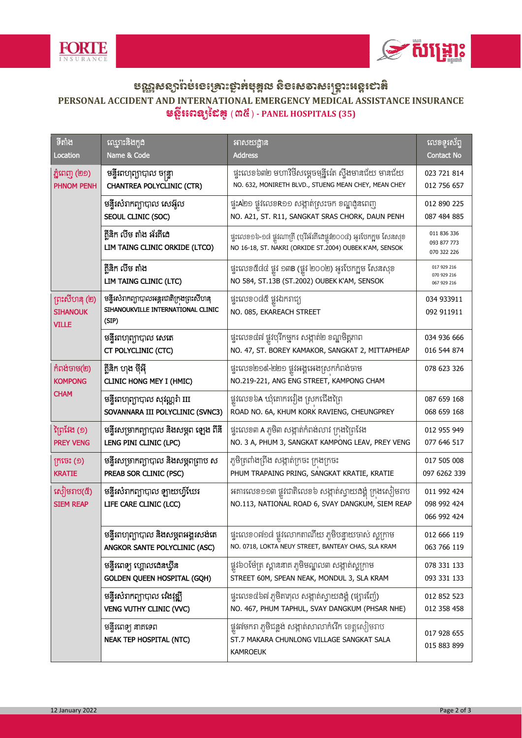



## ဗက္လ္ဆန္းစားမ်ားမႈမ်ားမွားမ်ားမွန္မွာေန့င္းမွာေန႔ေနာ္တင္းမွာေနာ္တင္ကေနာ္<br>PERSONAL ACCIDENT AND INTERNATIONAL EMERGENCY MEDICAL ASSISTANCE INSURANCE  $\mathfrak s$ ន្ទីរពេន្យនៃៃឝូ (៣៥) - PANEL HOSPITALS (35)

| ទីតាំង<br>Location                               | ឈ្មោះនិងកូដ<br>Name & Code                                                               | អាសយដ្ឋាន<br><b>Address</b>                                                                                                  | លេខទុរស័ព្ទ<br><b>Contact No</b>          |
|--------------------------------------------------|------------------------------------------------------------------------------------------|------------------------------------------------------------------------------------------------------------------------------|-------------------------------------------|
| ភ្នំពេញ (២១)<br><b>PHNOM PENH</b>                | មន្ទីរពហុព្យាបាល ចន្ទ្រា                                                                 | ផ្ទុះលេខ៦៣២ មហាវិថីសម្ដេចមុន្នីរ៉េត ស៊្អឹងមានជ័យ មានជ័យ                                                                      | 023 721 814                               |
|                                                  | <b>CHANTREA POLYCLINIC (CTR)</b>                                                         | NO. 632, MONIRETH BLVD., STUENG MEAN CHEY, MEAN CHEY                                                                         | 012 756 657                               |
|                                                  | មន្ទីរសំរាកព្យាបាល សេអ៊ូល<br>SEOUL CLINIC (SOC)                                          | ផ្ទុះA២១ ផ្លូវលេខR១១ សង្កាត់ស្រះចក ខណ្ឌដូនពេញ<br>NO. A21, ST. R11, SANGKAT SRAS CHORK, DAUN PENH                             | 012 890 225<br>087 484 885                |
|                                                  | គ្គីនិក លឹម តាំង អ័រគីដេ<br>LIM TAING CLINIC ORKIDE (LTCO)                               | ផ្ទះលេខ១៦-១៨ ផ្លូវណាគ្រី (បុរីអ័រគីដេផ្លូវ២០០៤) អូរបែកក្អម សែនសុខ<br>NO 16-18, ST. NAKRI (ORKIDE ST.2004) OUBEK K'AM, SENSOK | 011 836 336<br>093 877 773<br>070 322 226 |
|                                                  | គ្គីនិក លឹម តាំង<br>LIM TAING CLINIC (LTC)                                               | ផ្ទះលេខ៥៨៤ ផ្លូវ ១៣B (ផ្លូវ ២០០២) អូរបែកក្អម សែនសុខ<br>NO 584, ST.13B (ST.2002) OUBEK K'AM, SENSOK                           | 017 929 216<br>070 929 216<br>067 929 216 |
| ព្រះសីហនុ (២)<br><b>SIHANOUK</b><br><b>VILLE</b> | មន្ទីរសំរាកព្យាបាលអន្តរជាតិក្រុងព្រះសីហនុ<br>SIHANOUKVILLE INTERNATIONAL CLINIC<br>(SIP) | ផ្ទះលេខ០៨៥ ផ្លូវឯករាជ្យ<br>NO. 085, EKAREACH STREET                                                                          | 034 933911<br>092 911911                  |
|                                                  | មន្ទីរពហុព្យាបាល សេតេ<br>CT POLYCLINIC (CTC)                                             | ផ្ទុះលេខ៤៧ ផ្លូវបុរីកម្មុករ សង្កាត់២ ខណ្ឌមិត្តភាព<br>NO. 47, ST. BOREY KAMAKOR, SANGKAT 2, MITTAPHEAP                        | 034 936 666<br>016 544 874                |
| កំពង់ចាម(២)<br><b>KOMPONG</b><br>CHAM            | គ្គីនិក ហុង ម៉ីអ៊ី<br><b>CLINIC HONG MEY I (HMIC)</b>                                    | ផ្ទះលេខ២១៩-២២១ ផ្លូវអង្គអេងស្រុកកំពង់ចាម<br>NO.219-221, ANG ENG STREET, KAMPONG CHAM                                         | 078 623 326                               |
|                                                  | មន្ទីរពហុព្យាបាល សុវណ្ណរ៉ា III<br>SOVANNARA III POLYCLINIC (SVNC3)                       | ផ្លូវលេខ៦A ឃុំគោករវៀង ស្រកជើងព្រៃ<br>ROAD NO. 6A, KHUM KORK RAVIENG, CHEUNGPREY                                              | 087 659 168<br>068 659 168                |
| វិព្រវែង (១)<br><b>PREY VENG</b>                 | មន្ទីរសម្រាកព្យាបាល និងសម្ភព ឡេង ពីនី<br>LENG PINI CLINIC (LPC)                          | ផ្ទះលេខ៣ A ភូមិ៣ សង្កាត់កំពង់លាវ ក្រងព្រៃវែង<br>NO. 3 A, PHUM 3, SANGKAT KAMPONG LEAV, PREY VENG                             | 012 955 949<br>077 646 517                |
| ក្រចេះ (១)<br><b>KRATIE</b>                      | មន្ទីរសម្រាកព្យាបាល និងសម្ភពព្រាប ស<br>PREAB SOR CLINIC (PSC)                            | ភូមិត្រពាំងព្រីង សង្កាត់ក្រចះ ក្រងក្រចះ<br>PHUM TRAPAING PRING, SANGKAT KRATIE, KRATIE                                       | 017 505 008<br>097 6262 339               |
| ស៊ៀមរាប(៥)<br><b>SIEM REAP</b>                   | មន្ទីរសំរាកព្យាបាល ឡាយហ្វ័យែរ<br>LIFE CARE CLINIC (LCC)                                  | អគារលេខ១១៣ ផ្លូវជាតិលេខ៦ សង្កាត់ស្វាយដង្គំ ក្រុងសៀមរាប<br>NO.113, NATIONAL ROAD 6, SVAY DANGKUM, SIEM REAP                   | 011 992 424<br>098 992 424<br>066 992 424 |
|                                                  | មន្ទីរពហុព្យាបាល និងសម្ភពអង្គរសង់តេ<br>ANGKOR SANTE POLYCLINIC (ASC)                     | ផ្ទះលេខ០៧១៨ ផ្លូវលោកតាណីយ ភូមិបន្ទាយចាស់ ស្លក្រាម<br>NO. 0718, LOKTA NEUY STREET, BANTEAY CHAS, SLA KRAM                     | 012 666 119<br>063 766 119                |
|                                                  | មន្ទីរពេទ្យ ហ្គោលងេនឃ្វីន<br><b>GOLDEN QUEEN HOSPITAL (GQH)</b>                          | ផ្លូវ៦០ម៉ែត្រ ស្ពាននាគ ភូមិមណ្ឌល៣ សង្កាត់ស្លក្រាម<br>STREET 60M, SPEAN NEAK, MONDUL 3, SLA KRAM                              | 078 331 133<br>093 331 133                |
|                                                  | មន្ទីរសំរាកព្យាបាល វ៉េងវុឌ្ឍី<br>VENG VUTHY CLINIC (VVC)                                 | ផ្ទុះលេខ៤៦៧ ភូមិតាភុល សង្កាត់ស្វាយងង្គុំ (ផ្សារញ៉ែ)<br>NO. 467, PHUM TAPHUL, SVAY DANGKUM (PHSAR NHE)                        | 012 852 523<br>012 358 458                |
|                                                  | មន្ទីរពេទ្យ នាគទេព<br><b>NEAK TEP HOSPITAL (NTC)</b>                                     | ផ្លូវ៧មករា ភូមិជន្លូង សង្កាត់សាលាកំរើក ខេត្តសៀមរាប<br>ST.7 MAKARA CHUNLONG VILLAGE SANGKAT SALA<br><b>KAMROEUK</b>           | 017 928 655<br>015 883 899                |